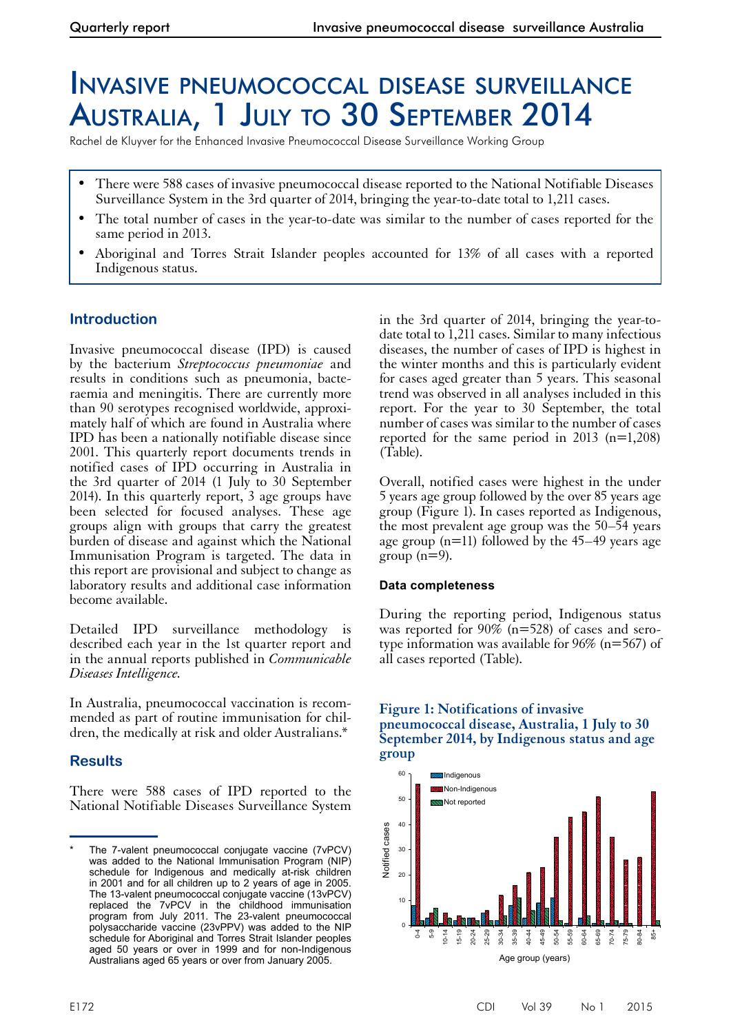# Invasive pneumococcal disease surveillance Australia, 1 July to 30 September 2014

Rachel de Kluyver for the Enhanced Invasive Pneumococcal Disease Surveillance Working Group

- There were 588 cases of invasive pneumococcal disease reported to the National Notifiable Diseases Surveillance System in the 3rd quarter of 2014, bringing the year-to-date total to 1,211 cases.
- The total number of cases in the year-to-date was similar to the number of cases reported for the same period in 2013.
- Aboriginal and Torres Strait Islander peoples accounted for 13% of all cases with a reported Indigenous status.

# **Introduction**

Invasive pneumococcal disease (IPD) is caused by the bacterium *Streptococcus pneumoniae* and results in conditions such as pneumonia, bacteraemia and meningitis. There are currently more than 90 serotypes recognised worldwide, approximately half of which are found in Australia where IPD has been a nationally notifiable disease since 2001. This quarterly report documents trends in notified cases of IPD occurring in Australia in the 3rd quarter of 2014 (1 July to 30 September 2014). In this quarterly report, 3 age groups have been selected for focused analyses. These age groups align with groups that carry the greatest burden of disease and against which the National Immunisation Program is targeted. The data in this report are provisional and subject to change as laboratory results and additional case information become available.

Detailed IPD surveillance methodology is described each year in the 1st quarter report and in the annual reports published in *Communicable Diseases Intelligence.*

In Australia, pneumococcal vaccination is recom- mended as part of routine immunisation for children, the medically at risk and older Australians.\*

# **Results**

There were 588 cases of IPD reported to the National Notifiable Diseases Surveillance System in the 3rd quarter of 2014, bringing the year-todate total to 1,211 cases. Similar to many infectious diseases, the number of cases of IPD is highest in the winter months and this is particularly evident for cases aged greater than 5 years. This seasonal trend was observed in all analyses included in this report. For the year to 30 September, the total number of cases was similar to the number of cases reported for the same period in  $2013$  (n=1,208) (Table).

Overall, notified cases were highest in the under 5 years age group followed by the over 85 years age group (Figure 1). In cases reported as Indigenous, the most prevalent age group was the 50–54 years age group ( $n=11$ ) followed by the 45–49 years age group  $(n=9)$ .

## **Data completeness**

During the reporting period, Indigenous status was reported for 90% ( $n=528$ ) of cases and sero-<br>type information was available for 96% ( $n=567$ ) of all cases reported (Table).

#### **Figure 1: Notifications of invasive pneumococcal disease, Australia, 1 July to 30 September 2014, by Indigenous status and age group**



The 7-valent pneumococcal conjugate vaccine (7vPCV) was added to the National Immunisation Program (NIP) schedule for Indigenous and medically at-risk children in 2001 and for all children up to 2 years of age in 2005. The 13-valent pneumococcal conjugate vaccine (13vPCV) replaced the 7vPCV in the childhood immunisation program from July 2011. The 23-valent pneumococcal polysaccharide vaccine (23vPPV) was added to the NIP schedule for Aboriginal and Torres Strait Islander peoples aged 50 years or over in 1999 and for non-Indigenous Australians aged 65 years or over from January 2005.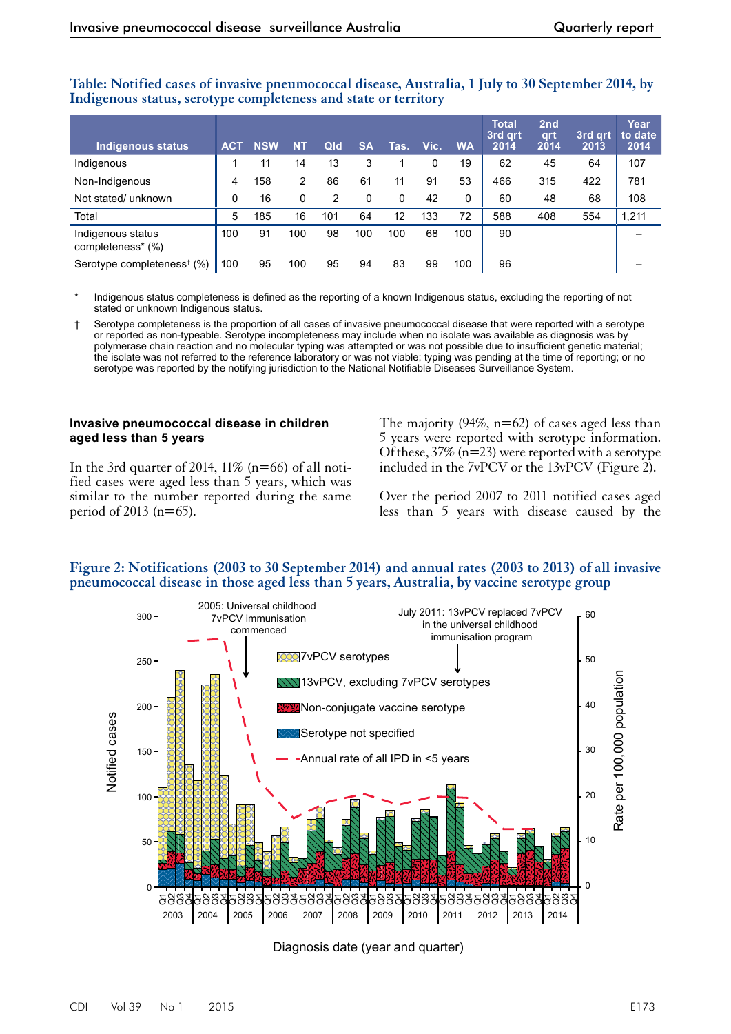| <b>Indigenous status</b>               | <b>ACT</b> | <b>NSW</b> | <b>NT</b> | Qld | <b>SA</b> | Tas. | Vic. | <b>WA</b> | <b>Total</b><br>3rd art<br>2014 | 2nd<br>grt<br>2014 | 3rd art<br>2013 | Year<br>to date<br>2014 |
|----------------------------------------|------------|------------|-----------|-----|-----------|------|------|-----------|---------------------------------|--------------------|-----------------|-------------------------|
| Indigenous                             |            | 11         | 14        | 13  | 3         |      | 0    | 19        | 62                              | 45                 | 64              | 107                     |
| Non-Indigenous                         | 4          | 158        | 2         | 86  | 61        | 11   | 91   | 53        | 466                             | 315                | 422             | 781                     |
| Not stated/ unknown                    | 0          | 16         | 0         | 2   | 0         | 0    | 42   | 0         | 60                              | 48                 | 68              | 108                     |
| Total                                  | 5          | 185        | 16        | 101 | 64        | 12   | 133  | 72        | 588                             | 408                | 554             | 1,211                   |
| Indigenous status<br>completeness* (%) | 100        | 91         | 100       | 98  | 100       | 100  | 68   | 100       | 90                              |                    |                 |                         |
| Serotype completeness <sup>†</sup> (%) | 100        | 95         | 100       | 95  | 94        | 83   | 99   | 100       | 96                              |                    |                 |                         |

**Table: Notified cases of invasive pneumococcal disease, Australia, 1 July to 30 September 2014, by Indigenous status, serotype completeness and state or territory**

Indigenous status completeness is defined as the reporting of a known Indigenous status, excluding the reporting of not stated or unknown Indigenous status.

† Serotype completeness is the proportion of all cases of invasive pneumococcal disease that were reported with a serotype or reported as non-typeable. Serotype incompleteness may include when no isolate was available as diagnosis was by polymerase chain reaction and no molecular typing was attempted or was not possible due to insufficient genetic material; the isolate was not referred to the reference laboratory or was not viable; typing was pending at the time of reporting; or no serotype was reported by the notifying jurisdiction to the National Notifiable Diseases Surveillance System.

#### **Invasive pneumococcal disease in children aged less than 5 years**

In the 3rd quarter of 2014,  $11\%$  (n=66) of all notified cases were aged less than 5 years, which was similar to the number reported during the same period of 2013 ( $n=65$ ).

The majority  $(94\%, n=62)$  of cases aged less than 5 years were reported with serotype information. Of these,  $37\%$  (n=23) were reported with a serotype included in the 7vPCV or the 13vPCV (Figure 2).

Over the period 2007 to 2011 notified cases aged less than 5 years with disease caused by the



#### **Figure 2: Notifications (2003 to 30 September 2014) and annual rates (2003 to 2013) of all invasive pneumococcal disease in those aged less than 5 years, Australia, by vaccine serotype group**

Diagnosis date (year and quarter)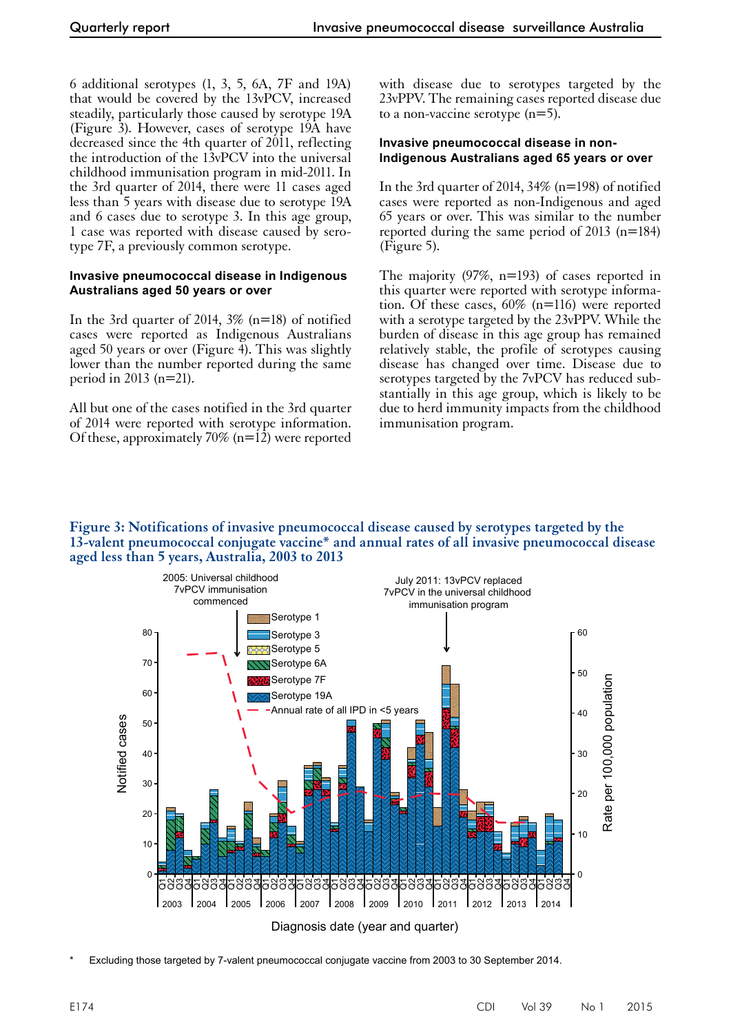6 additional serotypes (1, 3, 5, 6A, 7F and 19A) that would be covered by the 13vPCV, increased steadily, particularly those caused by serotype 19A (Figure 3). However, cases of serotype 19A have decreased since the 4th quarter of 2011, reflecting the introduction of the 13vPCV into the universal childhood immunisation program in mid-2011. In the 3rd quarter of 2014, there were 11 cases aged less than 5 years with disease due to serotype 19A and 6 cases due to serotype 3. In this age group, 1 case was reported with disease caused by serotype 7F, a previously common serotype.

#### **Invasive pneumococcal disease in Indigenous Australians aged 50 years or over**

In the 3rd quarter of 2014,  $3\%$  (n=18) of notified cases were reported as Indigenous Australians aged 50 years or over (Figure  $\overline{4}$ ). This was slightly lower than the number reported during the same period in 2013 (n=21).

All but one of the cases notified in the 3rd quarter of 2014 were reported with serotype information. Of these, approximately 70% ( $n=12$ ) were reported

with disease due to serotypes targeted by the 23vPPV. The remaining cases reported disease due to a non-vaccine serotype (n=5).

#### **Invasive pneumococcal disease in non-Indigenous Australians aged 65 years or over**

In the 3rd quarter of 2014,  $34\%$  (n=198) of notified cases were reported as non-Indigenous and aged 65 years or over. This was similar to the number reported during the same period of 2013 (n=184) (Figure 5).

The majority (97%, n=193) of cases reported in this quarter were reported with serotype information. Of these cases, 60% (n=116) were reported with a serotype targeted by the 23vPPV. While the burden of disease in this age group has remained relatively stable, the profile of serotypes causing disease has changed over time. Disease due to serotypes targeted by the 7vPCV has reduced substantially in this age group, which is likely to be due to herd immunity impacts from the childhood immunisation program.

#### **Figure 3: Notifications of invasive pneumococcal disease caused by serotypes targeted by the 13-valent pneumococcal conjugate vaccine\* and annual rates of all invasive pneumococcal disease aged less than 5 years, Australia, 2003 to 2013**



Excluding those targeted by 7-valent pneumococcal conjugate vaccine from 2003 to 30 September 2014.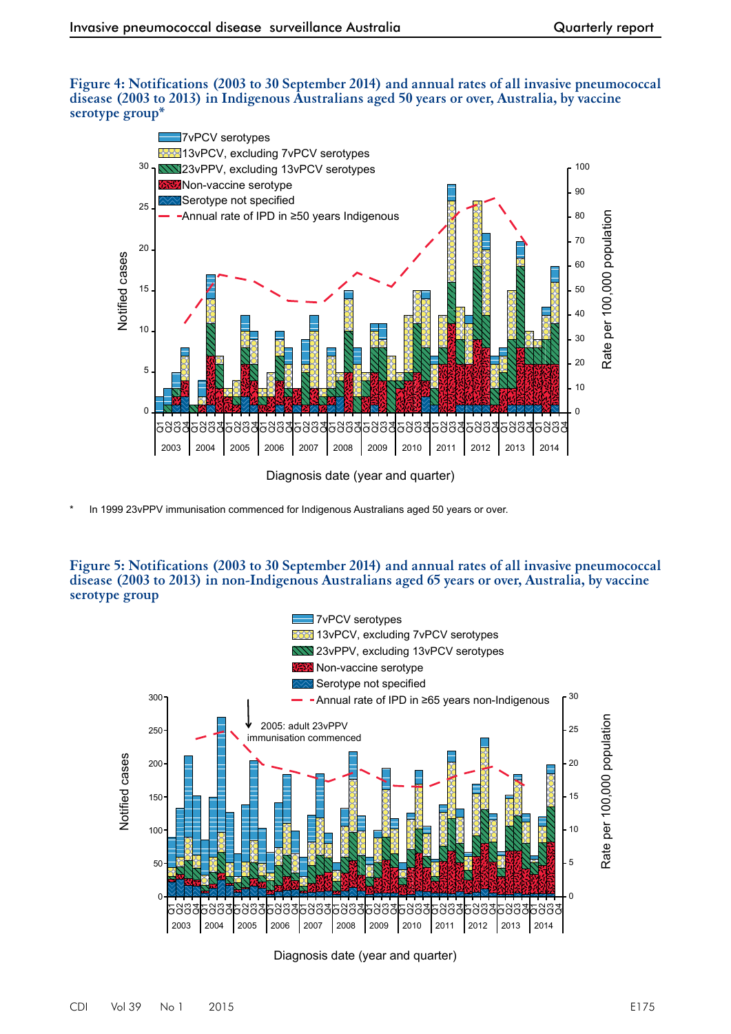#### **Figure 4: Notifications (2003 to 30 September 2014) and annual rates of all invasive pneumococcal disease (2003 to 2013) in Indigenous Australians aged 50 years or over, Australia, by vaccine serotype group\***



In 1999 23vPPV immunisation commenced for Indigenous Australians aged 50 years or over.

#### **Figure 5: Notifications (2003 to 30 September 2014) and annual rates of all invasive pneumococcal disease (2003 to 2013) in non-Indigenous Australians aged 65 years or over, Australia, by vaccine serotype group**